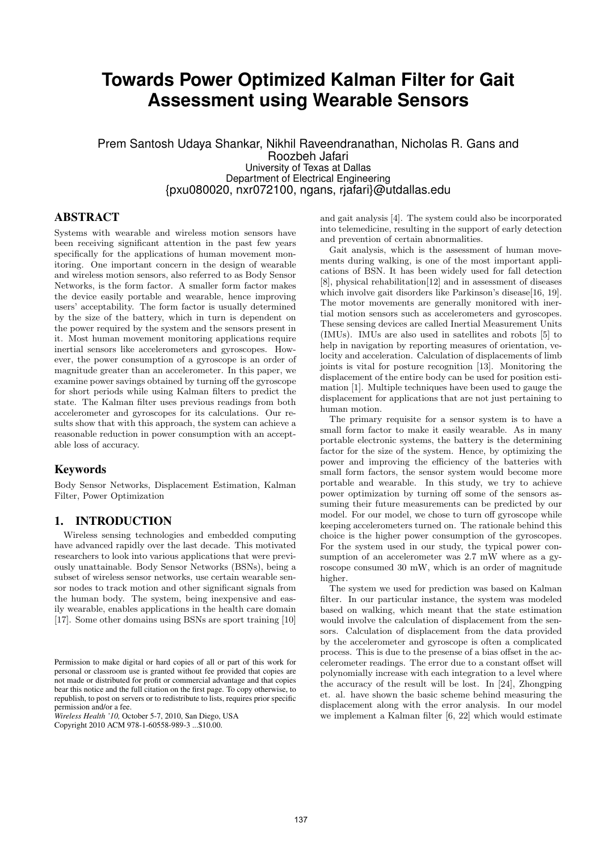# **Towards Power Optimized Kalman Filter for Gait Assessment using Wearable Sensors**

Prem Santosh Udaya Shankar, Nikhil Raveendranathan, Nicholas R. Gans and Roozbeh Jafari University of Texas at Dallas Department of Electrical Engineering {pxu080020, nxr072100, ngans, rjafari}@utdallas.edu

## ABSTRACT

Systems with wearable and wireless motion sensors have been receiving significant attention in the past few years specifically for the applications of human movement monitoring. One important concern in the design of wearable and wireless motion sensors, also referred to as Body Sensor Networks, is the form factor. A smaller form factor makes the device easily portable and wearable, hence improving users' acceptability. The form factor is usually determined by the size of the battery, which in turn is dependent on the power required by the system and the sensors present in it. Most human movement monitoring applications require inertial sensors like accelerometers and gyroscopes. However, the power consumption of a gyroscope is an order of magnitude greater than an accelerometer. In this paper, we examine power savings obtained by turning off the gyroscope for short periods while using Kalman filters to predict the state. The Kalman filter uses previous readings from both accelerometer and gyroscopes for its calculations. Our results show that with this approach, the system can achieve a reasonable reduction in power consumption with an acceptable loss of accuracy.

### Keywords

Body Sensor Networks, Displacement Estimation, Kalman Filter, Power Optimization

#### 1. INTRODUCTION

Wireless sensing technologies and embedded computing have advanced rapidly over the last decade. This motivated researchers to look into various applications that were previously unattainable. Body Sensor Networks (BSNs), being a subset of wireless sensor networks, use certain wearable sensor nodes to track motion and other significant signals from the human body. The system, being inexpensive and easily wearable, enables applications in the health care domain [17]. Some other domains using BSNs are sport training [10]

*Wireless Health '10,* October 5-7, 2010, San Diego, USA Copyright 2010 ACM 978-1-60558-989-3 ...\$10.00.

and gait analysis [4]. The system could also be incorporated into telemedicine, resulting in the support of early detection and prevention of certain abnormalities.

Gait analysis, which is the assessment of human movements during walking, is one of the most important applications of BSN. It has been widely used for fall detection [8], physical rehabilitation[12] and in assessment of diseases which involve gait disorders like Parkinson's disease[16, 19]. The motor movements are generally monitored with inertial motion sensors such as accelerometers and gyroscopes. These sensing devices are called Inertial Measurement Units (IMUs). IMUs are also used in satellites and robots [5] to help in navigation by reporting measures of orientation, velocity and acceleration. Calculation of displacements of limb joints is vital for posture recognition [13]. Monitoring the displacement of the entire body can be used for position estimation [1]. Multiple techniques have been used to gauge the displacement for applications that are not just pertaining to human motion.

The primary requisite for a sensor system is to have a small form factor to make it easily wearable. As in many portable electronic systems, the battery is the determining factor for the size of the system. Hence, by optimizing the power and improving the efficiency of the batteries with small form factors, the sensor system would become more portable and wearable. In this study, we try to achieve power optimization by turning off some of the sensors assuming their future measurements can be predicted by our model. For our model, we chose to turn off gyroscope while keeping accelerometers turned on. The rationale behind this choice is the higher power consumption of the gyroscopes. For the system used in our study, the typical power consumption of an accelerometer was 2.7 mW where as a gyroscope consumed 30 mW, which is an order of magnitude higher.

The system we used for prediction was based on Kalman filter. In our particular instance, the system was modeled based on walking, which meant that the state estimation would involve the calculation of displacement from the sensors. Calculation of displacement from the data provided by the accelerometer and gyroscope is often a complicated process. This is due to the presense of a bias offset in the accelerometer readings. The error due to a constant offset will polynomially increase with each integration to a level where the accuracy of the result will be lost. In [24], Zhongping et. al. have shown the basic scheme behind measuring the displacement along with the error analysis. In our model we implement a Kalman filter [6, 22] which would estimate

Permission to make digital or hard copies of all or part of this work for personal or classroom use is granted without fee provided that copies are not made or distributed for profit or commercial advantage and that copies bear this notice and the full citation on the first page. To copy otherwise, to republish, to post on servers or to redistribute to lists, requires prior specific permission and/or a fee.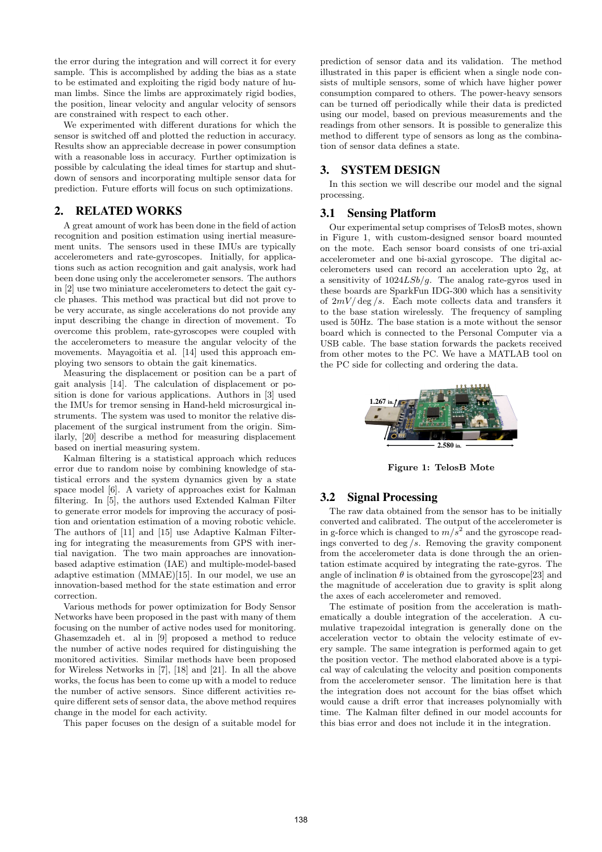the error during the integration and will correct it for every sample. This is accomplished by adding the bias as a state to be estimated and exploiting the rigid body nature of human limbs. Since the limbs are approximately rigid bodies, the position, linear velocity and angular velocity of sensors are constrained with respect to each other.

We experimented with different durations for which the sensor is switched off and plotted the reduction in accuracy. Results show an appreciable decrease in power consumption with a reasonable loss in accuracy. Further optimization is possible by calculating the ideal times for startup and shutdown of sensors and incorporating multiple sensor data for prediction. Future efforts will focus on such optimizations.

#### 2. RELATED WORKS

A great amount of work has been done in the field of action recognition and position estimation using inertial measurement units. The sensors used in these IMUs are typically accelerometers and rate-gyroscopes. Initially, for applications such as action recognition and gait analysis, work had been done using only the accelerometer sensors. The authors in [2] use two miniature accelerometers to detect the gait cycle phases. This method was practical but did not prove to be very accurate, as single accelerations do not provide any input describing the change in direction of movement. To overcome this problem, rate-gyroscopes were coupled with the accelerometers to measure the angular velocity of the movements. Mayagoitia et al. [14] used this approach employing two sensors to obtain the gait kinematics.

Measuring the displacement or position can be a part of gait analysis [14]. The calculation of displacement or position is done for various applications. Authors in [3] used the IMUs for tremor sensing in Hand-held microsurgical instruments. The system was used to monitor the relative displacement of the surgical instrument from the origin. Similarly, [20] describe a method for measuring displacement based on inertial measuring system.

Kalman filtering is a statistical approach which reduces error due to random noise by combining knowledge of statistical errors and the system dynamics given by a state space model [6]. A variety of approaches exist for Kalman filtering. In [5], the authors used Extended Kalman Filter to generate error models for improving the accuracy of position and orientation estimation of a moving robotic vehicle. The authors of [11] and [15] use Adaptive Kalman Filtering for integrating the measurements from GPS with inertial navigation. The two main approaches are innovationbased adaptive estimation (IAE) and multiple-model-based adaptive estimation (MMAE)[15]. In our model, we use an innovation-based method for the state estimation and error correction.

Various methods for power optimization for Body Sensor Networks have been proposed in the past with many of them focusing on the number of active nodes used for monitoring. Ghasemzadeh et. al in [9] proposed a method to reduce the number of active nodes required for distinguishing the monitored activities. Similar methods have been proposed for Wireless Networks in [7], [18] and [21]. In all the above works, the focus has been to come up with a model to reduce the number of active sensors. Since different activities require different sets of sensor data, the above method requires change in the model for each activity.

This paper focuses on the design of a suitable model for

prediction of sensor data and its validation. The method illustrated in this paper is efficient when a single node consists of multiple sensors, some of which have higher power consumption compared to others. The power-heavy sensors can be turned off periodically while their data is predicted using our model, based on previous measurements and the readings from other sensors. It is possible to generalize this method to different type of sensors as long as the combination of sensor data defines a state.

#### 3. SYSTEM DESIGN

In this section we will describe our model and the signal processing.

#### 3.1 Sensing Platform

Our experimental setup comprises of TelosB motes, shown in Figure 1, with custom-designed sensor board mounted on the mote. Each sensor board consists of one tri-axial accelerometer and one bi-axial gyroscope. The digital accelerometers used can record an acceleration upto 2g, at a sensitivity of  $1024LSb/g$ . The analog rate-gyros used in these boards are SparkFun IDG-300 which has a sensitivity of  $2mV/\deg/s$ . Each mote collects data and transfers it to the base station wirelessly. The frequency of sampling used is 50Hz. The base station is a mote without the sensor board which is connected to the Personal Computer via a USB cable. The base station forwards the packets received from other motes to the PC. We have a MATLAB tool on the PC side for collecting and ordering the data.



Figure 1: TelosB Mote

#### 3.2 Signal Processing

The raw data obtained from the sensor has to be initially converted and calibrated. The output of the accelerometer is in g-force which is changed to  $m/s^2$  and the gyroscope readings converted to deg  $/s$ . Removing the gravity component from the accelerometer data is done through the an orientation estimate acquired by integrating the rate-gyros. The angle of inclination  $\theta$  is obtained from the gyroscope<sup>[23]</sup> and the magnitude of acceleration due to gravity is split along the axes of each accelerometer and removed.

The estimate of position from the acceleration is mathematically a double integration of the acceleration. A cumulative trapezoidal integration is generally done on the acceleration vector to obtain the velocity estimate of every sample. The same integration is performed again to get the position vector. The method elaborated above is a typical way of calculating the velocity and position components from the accelerometer sensor. The limitation here is that the integration does not account for the bias offset which would cause a drift error that increases polynomially with time. The Kalman filter defined in our model accounts for this bias error and does not include it in the integration.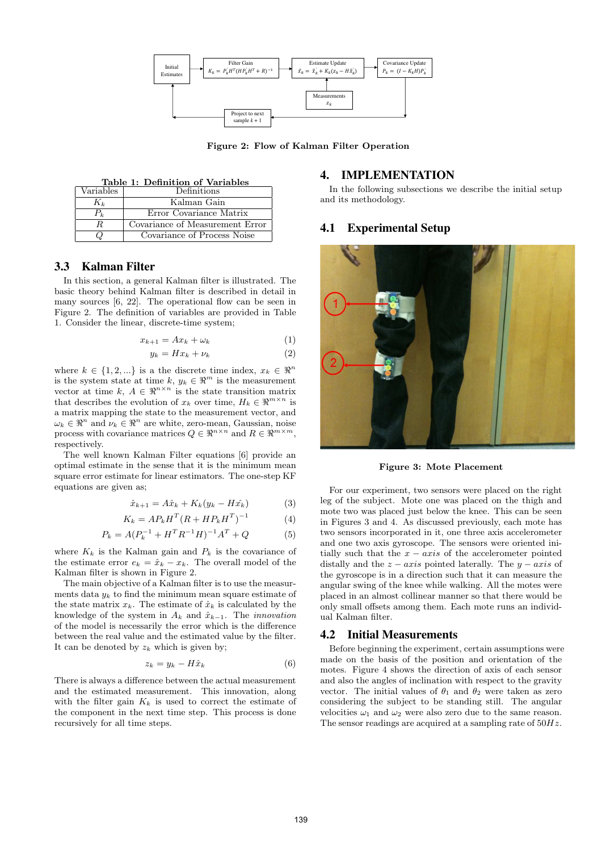

Figure 2: Flow of Kalman Filter Operation

Table 1: Definition of Variables

| Variables | Definitions                     |
|-----------|---------------------------------|
|           | Kalman Gain                     |
|           | Error Covariance Matrix         |
|           | Covariance of Measurement Error |
|           | Covariance of Process Noise     |

#### 3.3 Kalman Filter

In this section, a general Kalman filter is illustrated. The basic theory behind Kalman filter is described in detail in many sources [6, 22]. The operational flow can be seen in Figure 2. The definition of variables are provided in Table 1. Consider the linear, discrete-time system;

$$
x_{k+1} = Ax_k + \omega_k \tag{1}
$$

$$
y_k = Hx_k + \nu_k \tag{2}
$$

where  $k \in \{1, 2, ...\}$  is a the discrete time index,  $x_k \in \mathbb{R}^n$ is the system state at time  $k, y_k \in \mathbb{R}^m$  is the measurement vector at time k,  $A \in \mathbb{R}^{n \times n}$  is the state transition matrix that describes the evolution of  $x_k$  over time,  $H_k \in \mathbb{R}^{m \times n}$  is a matrix mapping the state to the measurement vector, and  $\omega_k \in \mathbb{R}^n$  and  $\nu_k \in \mathbb{R}^n$  are white, zero-mean, Gaussian, noise process with covariance matrices  $Q \in \mathbb{R}^{n \times n}$  and  $R \in \mathbb{R}^{m \times m}$ , respectively.

The well known Kalman Filter equations [6] provide an optimal estimate in the sense that it is the minimum mean square error estimate for linear estimators. The one-step KF equations are given as;

$$
\hat{x}_{k+1} = A\hat{x}_k + K_k(y_k - H\hat{x}_k)
$$
\n(3)

$$
K_k = AP_k H^T (R + HP_k H^T)^{-1}
$$
 (4)

$$
P_k = A(P_k^{-1} + H^T R^{-1} H)^{-1} A^T + Q \tag{5}
$$

where  $K_k$  is the Kalman gain and  $P_k$  is the covariance of the estimate error  $e_k = \hat{x}_k - x_k$ . The overall model of the Kalman filter is shown in Figure 2.

The main objective of a Kalman filter is to use the measurments data  $y_k$  to find the minimum mean square estimate of the state matrix  $x_k$ . The estimate of  $\hat{x}_k$  is calculated by the knowledge of the system in  $A_k$  and  $\hat{x}_{k-1}$ . The *innovation* of the model is necessarily the error which is the difference between the real value and the estimated value by the filter. It can be denoted by  $z_k$  which is given by;

$$
z_k = y_k - H\hat{x}_k \tag{6}
$$

There is always a difference between the actual measurement and the estimated measurement. This innovation, along with the filter gain  $K_k$  is used to correct the estimate of the component in the next time step. This process is done recursively for all time steps.

#### 4. IMPLEMENTATION

In the following subsections we describe the initial setup and its methodology.

## 4.1 Experimental Setup



Figure 3: Mote Placement

For our experiment, two sensors were placed on the right leg of the subject. Mote one was placed on the thigh and mote two was placed just below the knee. This can be seen in Figures 3 and 4. As discussed previously, each mote has two sensors incorporated in it, one three axis accelerometer and one two axis gyroscope. The sensors were oriented initially such that the  $x - axis$  of the accelerometer pointed distally and the  $z - axis$  pointed laterally. The  $y - axis$  of the gyroscope is in a direction such that it can measure the angular swing of the knee while walking. All the motes were placed in an almost collinear manner so that there would be only small offsets among them. Each mote runs an individual Kalman filter.

#### 4.2 Initial Measurements

Before beginning the experiment, certain assumptions were made on the basis of the position and orientation of the motes. Figure 4 shows the direction of axis of each sensor and also the angles of inclination with respect to the gravity vector. The initial values of  $\theta_1$  and  $\theta_2$  were taken as zero considering the subject to be standing still. The angular velocities  $\omega_1$  and  $\omega_2$  were also zero due to the same reason. The sensor readings are acquired at a sampling rate of  $50Hz$ .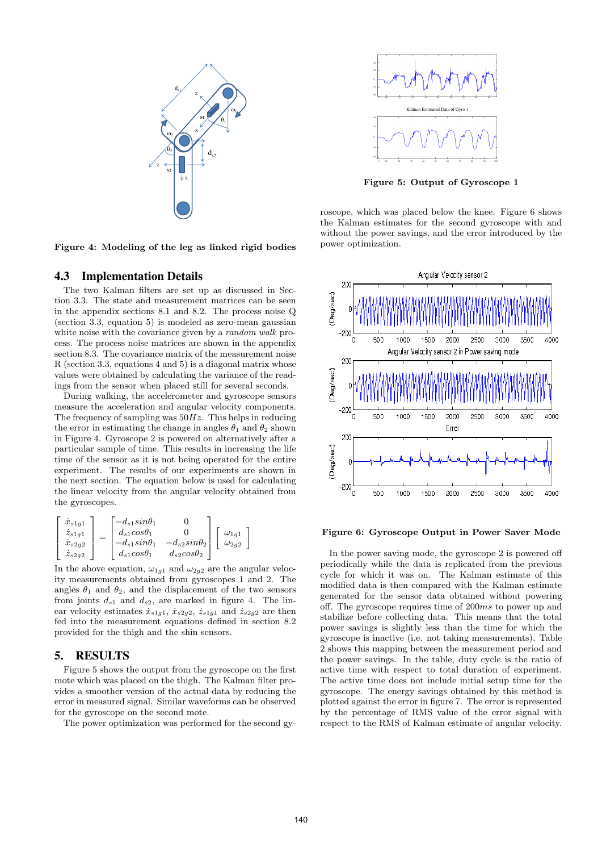

Figure 4: Modeling of the leg as linked rigid bodies

#### 4.3 Implementation Details

The two Kalman filters are set up as discussed in Section 3.3. The state and measurement matrices can be seen in the appendix sections 8.1 and 8.2. The process noise Q (section 3.3, equation 5) is modeled as zero-mean gaussian white noise with the covariance given by a *random walk* process. The process noise matrices are shown in the appendix section 8.3. The covariance matrix of the measurement noise R (section 3.3, equations 4 and 5) is a diagonal matrix whose values were obtained by calculating the variance of the readings from the sensor when placed still for several seconds.

During walking, the accelerometer and gyroscope sensors measure the acceleration and angular velocity components. The frequency of sampling was  $50Hz$ . This helps in reducing the error in estimating the change in angles  $\theta_1$  and  $\theta_2$  shown in Figure 4. Gyroscope 2 is powered on alternatively after a particular sample of time. This results in increasing the life time of the sensor as it is not being operated for the entire experiment. The results of our experiments are shown in the next section. The equation below is used for calculating the linear velocity from the angular velocity obtained from the gyroscopes.

$$
\begin{bmatrix}\n\dot{x}_{s1g1} \\
\dot{z}_{s1g1} \\
\dot{x}_{s2g2} \\
\dot{z}_{s2g2}\n\end{bmatrix} = \begin{bmatrix}\n-d_{s1}sin\theta_1 & 0 \\
d_{s1}cos\theta_1 & 0 \\
-d_{s1}sin\theta_1 & -d_{s2}sin\theta_2 \\
d_{s1}cos\theta_1 & d_{s2}cos\theta_2\n\end{bmatrix} \begin{bmatrix}\n\omega_{1g1} \\
\omega_{2g2}\n\end{bmatrix}
$$

In the above equation,  $\omega_{1g1}$  and  $\omega_{2g2}$  are the angular velocity measurements obtained from gyroscopes 1 and 2. The angles  $\theta_1$  and  $\theta_2$ , and the displacement of the two sensors from joints  $d_{s1}$  and  $d_{s2}$ , are marked in figure 4. The linear velocity estimates  $\dot{x}_{s1g1}, \dot{x}_{s2g2}, \dot{z}_{s1g1}$  and  $\dot{z}_{s2g2}$  are then fed into the measurement equations defined in section 8.2 provided for the thigh and the shin sensors.

#### 5. RESULTS

Figure 5 shows the output from the gyroscope on the first mote which was placed on the thigh. The Kalman filter provides a smoother version of the actual data by reducing the error in measured signal. Similar waveforms can be observed for the gyroscope on the second mote.

The power optimization was performed for the second gy-



Figure 5: Output of Gyroscope 1

roscope, which was placed below the knee. Figure 6 shows the Kalman estimates for the second gyroscope with and without the power savings, and the error introduced by the power optimization.



Figure 6: Gyroscope Output in Power Saver Mode

In the power saving mode, the gyroscope 2 is powered off periodically while the data is replicated from the previous cycle for which it was on. The Kalman estimate of this modified data is then compared with the Kalman estimate generated for the sensor data obtained without powering off. The gyroscope requires time of 200ms to power up and stabilize before collecting data. This means that the total power savings is slightly less than the time for which the gyroscope is inactive (i.e. not taking measurements). Table 2 shows this mapping between the measurement period and the power savings. In the table, duty cycle is the ratio of active time with respect to total duration of experiment. The active time does not include initial setup time for the gyroscope. The energy savings obtained by this method is plotted against the error in figure 7. The error is represented by the percentage of RMS value of the error signal with respect to the RMS of Kalman estimate of angular velocity.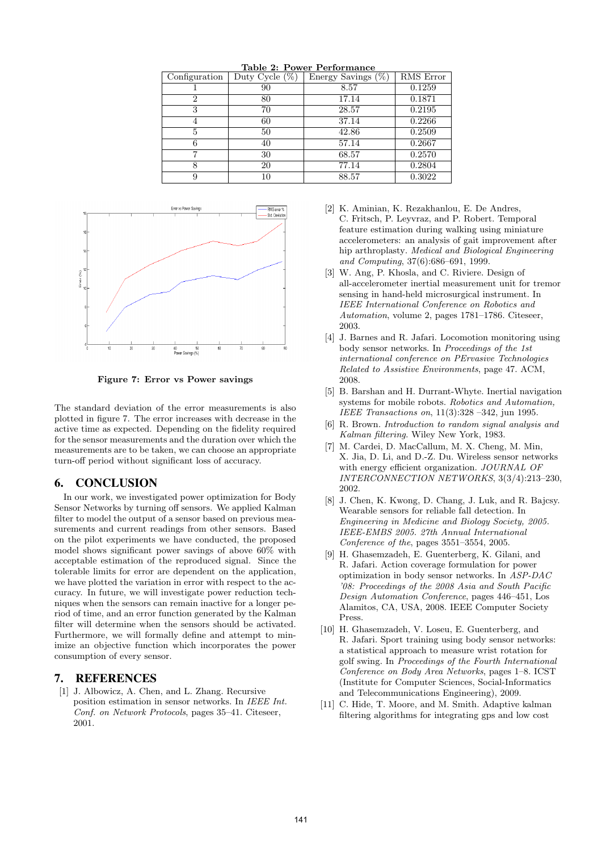| Configuration | Duty Cycle $(\%)$ | Energy Savings (%) | <b>RMS</b> Error |
|---------------|-------------------|--------------------|------------------|
|               | 90                | 8.57               | 0.1259           |
| 2             | 80                | 17.14              | 0.1871           |
| 3             | 70                | 28.57              | 0.2195           |
|               | 60                | 37.14              | 0.2266           |
| 5             | 50                | 42.86              | 0.2509           |
|               | 40                | 57.14              | 0.2667           |
| ⇁             | 30                | 68.57              | 0.2570           |
|               | 20                | 77.14              | 0.2804           |
| 9             | 10                | 88.57              | 0.3022           |

Table 2: Power Performance



Figure 7: Error vs Power savings

The standard deviation of the error measurements is also plotted in figure 7. The error increases with decrease in the active time as expected. Depending on the fidelity required for the sensor measurements and the duration over which the measurements are to be taken, we can choose an appropriate turn-off period without significant loss of accuracy.

### 6. CONCLUSION

In our work, we investigated power optimization for Body Sensor Networks by turning off sensors. We applied Kalman filter to model the output of a sensor based on previous measurements and current readings from other sensors. Based on the pilot experiments we have conducted, the proposed model shows significant power savings of above 60% with acceptable estimation of the reproduced signal. Since the tolerable limits for error are dependent on the application, we have plotted the variation in error with respect to the accuracy. In future, we will investigate power reduction techniques when the sensors can remain inactive for a longer period of time, and an error function generated by the Kalman filter will determine when the sensors should be activated. Furthermore, we will formally define and attempt to minimize an objective function which incorporates the power consumption of every sensor.

#### 7. REFERENCES

[1] J. Albowicz, A. Chen, and L. Zhang. Recursive position estimation in sensor networks. In *IEEE Int. Conf. on Network Protocols*, pages 35–41. Citeseer, 2001.

- [2] K. Aminian, K. Rezakhanlou, E. De Andres, C. Fritsch, P. Leyvraz, and P. Robert. Temporal feature estimation during walking using miniature accelerometers: an analysis of gait improvement after hip arthroplasty. *Medical and Biological Engineering and Computing*, 37(6):686–691, 1999.
- [3] W. Ang, P. Khosla, and C. Riviere. Design of all-accelerometer inertial measurement unit for tremor sensing in hand-held microsurgical instrument. In *IEEE International Conference on Robotics and Automation*, volume 2, pages 1781–1786. Citeseer, 2003.
- [4] J. Barnes and R. Jafari. Locomotion monitoring using body sensor networks. In *Proceedings of the 1st international conference on PErvasive Technologies Related to Assistive Environments*, page 47. ACM, 2008.
- [5] B. Barshan and H. Durrant-Whyte. Inertial navigation systems for mobile robots. *Robotics and Automation, IEEE Transactions on*, 11(3):328 –342, jun 1995.
- [6] R. Brown. *Introduction to random signal analysis and Kalman filtering*. Wiley New York, 1983.
- [7] M. Cardei, D. MacCallum, M. X. Cheng, M. Min, X. Jia, D. Li, and D.-Z. Du. Wireless sensor networks with energy efficient organization. *JOURNAL OF INTERCONNECTION NETWORKS*, 3(3/4):213–230, 2002.
- [8] J. Chen, K. Kwong, D. Chang, J. Luk, and R. Bajcsy. Wearable sensors for reliable fall detection. In *Engineering in Medicine and Biology Society, 2005. IEEE-EMBS 2005. 27th Annual International Conference of the*, pages 3551–3554, 2005.
- [9] H. Ghasemzadeh, E. Guenterberg, K. Gilani, and R. Jafari. Action coverage formulation for power optimization in body sensor networks. In *ASP-DAC '08: Proceedings of the 2008 Asia and South Pacific Design Automation Conference*, pages 446–451, Los Alamitos, CA, USA, 2008. IEEE Computer Society Pross.
- [10] H. Ghasemzadeh, V. Loseu, E. Guenterberg, and R. Jafari. Sport training using body sensor networks: a statistical approach to measure wrist rotation for golf swing. In *Proceedings of the Fourth International Conference on Body Area Networks*, pages 1–8. ICST (Institute for Computer Sciences, Social-Informatics and Telecommunications Engineering), 2009.
- [11] C. Hide, T. Moore, and M. Smith. Adaptive kalman filtering algorithms for integrating gps and low cost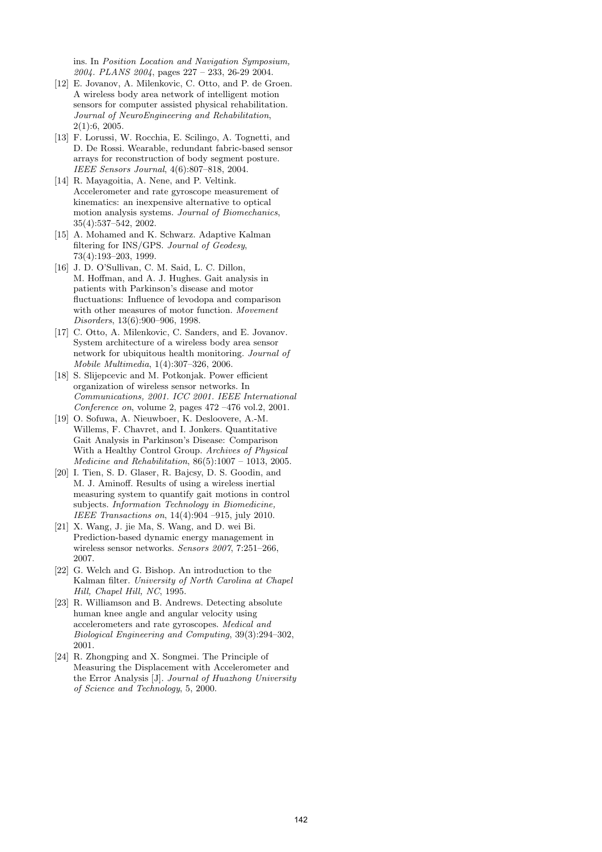ins. In *Position Location and Navigation Symposium, 2004. PLANS 2004*, pages 227 – 233, 26-29 2004.

- [12] E. Jovanov, A. Milenkovic, C. Otto, and P. de Groen. A wireless body area network of intelligent motion sensors for computer assisted physical rehabilitation. *Journal of NeuroEngineering and Rehabilitation*, 2(1):6, 2005.
- [13] F. Lorussi, W. Rocchia, E. Scilingo, A. Tognetti, and D. De Rossi. Wearable, redundant fabric-based sensor arrays for reconstruction of body segment posture. *IEEE Sensors Journal*, 4(6):807–818, 2004.
- [14] R. Mayagoitia, A. Nene, and P. Veltink. Accelerometer and rate gyroscope measurement of kinematics: an inexpensive alternative to optical motion analysis systems. *Journal of Biomechanics*, 35(4):537–542, 2002.
- [15] A. Mohamed and K. Schwarz. Adaptive Kalman filtering for INS/GPS. *Journal of Geodesy*, 73(4):193–203, 1999.
- [16] J. D. O'Sullivan, C. M. Said, L. C. Dillon, M. Hoffman, and A. J. Hughes. Gait analysis in patients with Parkinson's disease and motor fluctuations: Influence of levodopa and comparison with other measures of motor function. *Movement Disorders*, 13(6):900–906, 1998.
- [17] C. Otto, A. Milenkovic, C. Sanders, and E. Jovanov. System architecture of a wireless body area sensor network for ubiquitous health monitoring. *Journal of Mobile Multimedia*, 1(4):307–326, 2006.
- [18] S. Slijepcevic and M. Potkonjak. Power efficient organization of wireless sensor networks. In *Communications, 2001. ICC 2001. IEEE International Conference on*, volume 2, pages 472 –476 vol.2, 2001.
- [19] O. Sofuwa, A. Nieuwboer, K. Desloovere, A.-M. Willems, F. Chavret, and I. Jonkers. Quantitative Gait Analysis in Parkinson's Disease: Comparison With a Healthy Control Group. *Archives of Physical Medicine and Rehabilitation*, 86(5):1007 – 1013, 2005.
- [20] I. Tien, S. D. Glaser, R. Bajcsy, D. S. Goodin, and M. J. Aminoff. Results of using a wireless inertial measuring system to quantify gait motions in control subjects. *Information Technology in Biomedicine, IEEE Transactions on*, 14(4):904 –915, july 2010.
- [21] X. Wang, J. jie Ma, S. Wang, and D. wei Bi. Prediction-based dynamic energy management in wireless sensor networks. *Sensors 2007*, 7:251–266, 2007.
- [22] G. Welch and G. Bishop. An introduction to the Kalman filter. *University of North Carolina at Chapel Hill, Chapel Hill, NC*, 1995.
- [23] R. Williamson and B. Andrews. Detecting absolute human knee angle and angular velocity using accelerometers and rate gyroscopes. *Medical and Biological Engineering and Computing*, 39(3):294–302, 2001.
- [24] R. Zhongping and X. Songmei. The Principle of Measuring the Displacement with Accelerometer and the Error Analysis [J]. *Journal of Huazhong University of Science and Technology*, 5, 2000.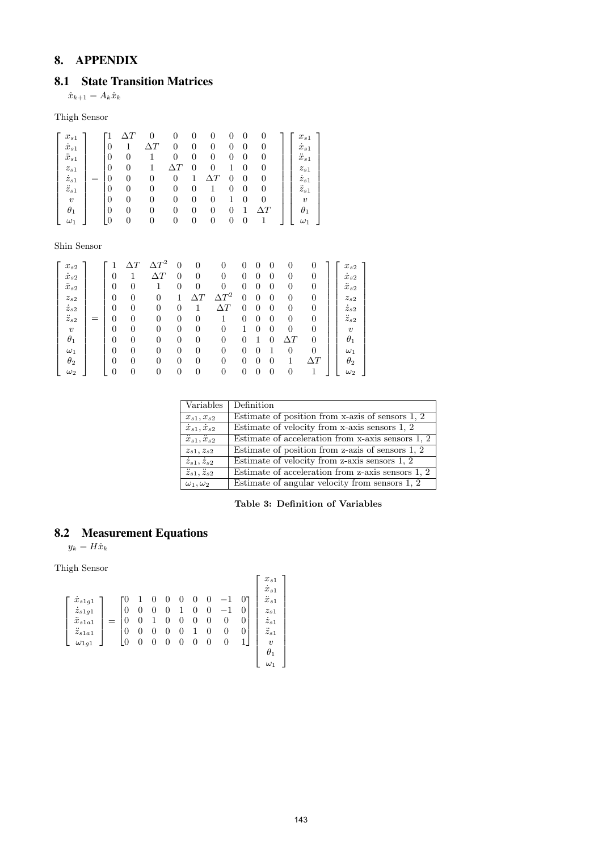## 8. APPENDIX

## 8.1 State Transition Matrices

 $\hat{x}_{k+1} = A_k \hat{x}_k$ 

Thigh Sensor

| $x_{s1}$            |     |              |              |          |              | 0 | 0          |   |   |              | $x_{s1}$            |
|---------------------|-----|--------------|--------------|----------|--------------|---|------------|---|---|--------------|---------------------|
| $\dot{x}_{s1}$      |     | $\mathbf{0}$ |              |          |              | 0 | 0          |   | 0 | O            | $\dot{x}_{s1}$      |
| $\ddot{x}_{s1}$     |     | $\mathbf{0}$ | 0            |          | $\theta$     | 0 | 0          |   | 0 | O            | $\ddot{x}_{s1}$     |
| $z_{s1}$            |     | $\theta$     | 0            |          |              |   | 0          |   | 0 | 0            | $z_{s1}$            |
| $\dot{z}_{s1}$      | $=$ |              | 0            | O        | $\theta$     |   | $\Delta T$ |   | 0 | 0            | $\overline{z}_{s1}$ |
| $\ddot{z}_{s1}$     |     | $\mathbf{0}$ | $\mathbf{0}$ | $\theta$ | $\mathbf{0}$ | 0 |            | 0 | 0 | $\mathbf{0}$ | $\ddot{z}_{s1}$     |
| $\boldsymbol{\eta}$ |     | $\mathbf{0}$ | $\mathbf{0}$ | 0        | $\mathbf{0}$ | 0 | 0          |   |   | $\mathbf{0}$ | $\boldsymbol{\eta}$ |
| $\theta_1$          |     | $\mathbf{0}$ | $\mathbf{0}$ |          | $\mathbf{0}$ | 0 | 0          |   |   | $\Delta T$   | $\theta_1$          |
| $\omega_1$          |     |              | 0            |          | 0            | 0 | 0          |   | 0 |              | $\omega_1$          |

#### Shin Sensor

| $x_{s2}$        |   |   | $\Delta T$ | $\Delta T^2$ | $\overline{0}$ | $\theta$ | 0            |  | $\cup$   | 0          | 0          | $x_{s2}$            |
|-----------------|---|---|------------|--------------|----------------|----------|--------------|--|----------|------------|------------|---------------------|
| $\dot{x}_{s2}$  |   | 0 |            |              | 0              | 0        | $\theta$     |  | $\cup$   | 0          | U          | $\dot{x}_{s2}$      |
| $\ddot{x}_{s2}$ |   | 0 | 0          |              | 0              | 0        | 0            |  | O        | 0          | 0          | $\ddot{x}_{s2}$     |
| $z_{s2}$        |   | 0 | 0          | 0            |                |          | $\Delta T^2$ |  | 0        | 0          | 0          | $z_{s2}$            |
| $\dot{z}_{s2}$  |   | 0 | 0          | 0            | 0              |          | $\Delta T$   |  | $\theta$ | 0          | 0          | $\dot{z}_{s2}$      |
| $\ddot{z}_{s2}$ | Ξ | 0 | 0          | 0            | 0              | 0        |              |  | $\theta$ | 0          | $\theta$   | $\ddot{z}_{s2}$     |
| $\eta$          |   | 0 | 0          | 0            | 0              | 0        |              |  | 0        |            | 0          | $\boldsymbol{\eta}$ |
| $\theta_1$      |   | 0 | 0          | 0            | 0              | 0        | $\theta$     |  |          | $\Delta T$ | 0          | $\theta_1$          |
| $\omega_1$      |   | 0 | 0          | 0            | 0              | 0        | 0            |  |          | 0          | 0          | $\omega_1$          |
| $\theta_2$      |   |   | 0          | 0            | 0              | 0        |              |  | $\theta$ |            | $\Delta T$ | $\theta_2$          |
| $\omega_2$      |   |   | 0          | 0            | 0              | 0        | 0            |  | O        | 0          |            | $\omega_2$          |

| Variables                      | Definition                                        |
|--------------------------------|---------------------------------------------------|
| $x_{s1}, x_{s2}$               | Estimate of position from x-azis of sensors 1, 2  |
| $\dot{x}_{s1}, \dot{x}_{s2}$   | Estimate of velocity from x-axis sensors 1, 2     |
| $\ddot{x}_{s1}, \ddot{x}_{s2}$ | Estimate of acceleration from x-axis sensors 1, 2 |
| $z_{s1}, z_{s2}$               | Estimate of position from z-azis of sensors 1, 2  |
| $\dot{z}_{s1}, \dot{z}_{s2}$   | Estimate of velocity from z-axis sensors 1, 2     |
| $\ddot{z}_{s1}, \ddot{z}_{s2}$ | Estimate of acceleration from z-axis sensors 1, 2 |
| $\omega_1, \omega_2$           | Estimate of angular velocity from sensors 1, 2    |

#### Table 3: Definition of Variables

## 8.2 Measurement Equations

 $y_k = H\hat{x}_k$ 

Thigh Sensor

|                   |          |   |  |                  |                  |                  |   | $x_{s1}$         |
|-------------------|----------|---|--|------------------|------------------|------------------|---|------------------|
|                   |          |   |  |                  |                  |                  |   | $\dot{x}_{s1}$   |
| $\dot{x}_{s1g1}$  |          |   |  | U                |                  |                  |   | $\ddot{x}_{s1}$  |
| $\dot{z}_{s1g1}$  | $\theta$ |   |  | 1                | 0                |                  |   | $z_{s1}$         |
| $\ddot{x}_{s1a1}$ |          |   |  | 0                | 0                | 0                | 0 | $\dot{z}_{s1}$   |
| $\ddot{z}_{s1a1}$ | 0        |   |  | $\boldsymbol{0}$ | 1                | 0                | 0 | $\ddot{z}_{s1}$  |
| $\omega_{1g1}$    |          | 0 |  | 0                | $\boldsymbol{0}$ | $\boldsymbol{0}$ | 0 | $\boldsymbol{v}$ |
|                   |          |   |  |                  |                  |                  |   | $\theta_1$       |
|                   |          |   |  |                  |                  |                  |   | $\omega_1$       |